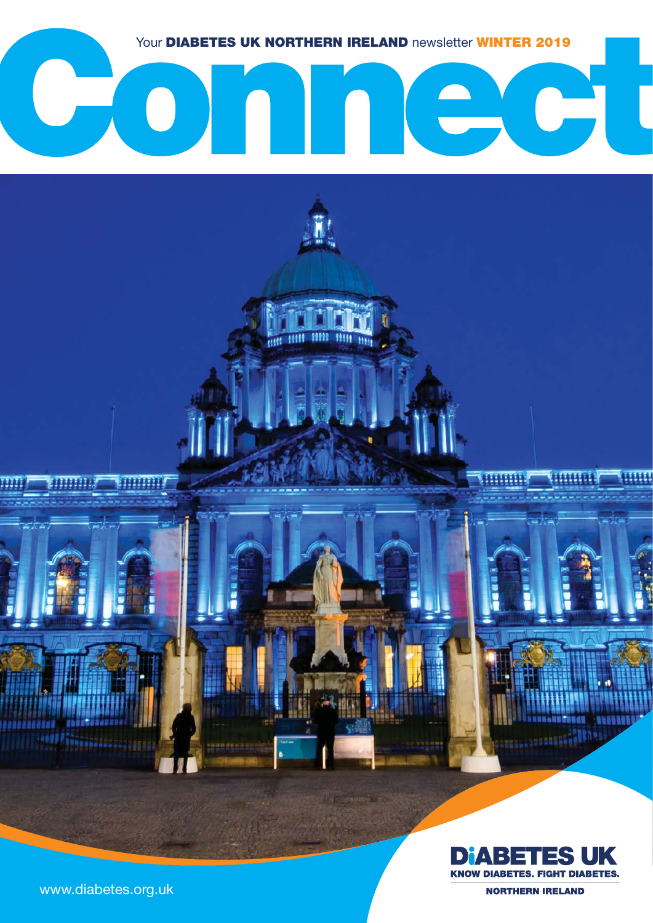

### **Sold**  $\begin{pmatrix} 1 \\ 1 \end{pmatrix}$  $\mathcal{L}(\mathcal{L})$  $\Box$  $\mathcal{L}$

**Cest 1888** 

19999

19999  $\overline{\mathbf{m}}$ 



**SEBASSONIAS** 

assuments of the

1999999

www.diabetes.org.uk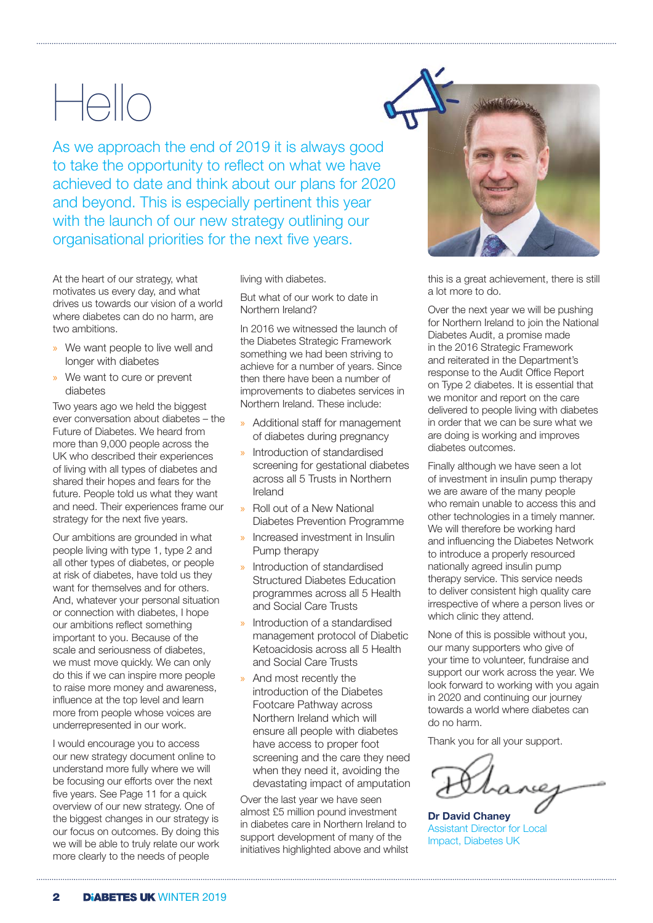# Hello

As we approach the end of 2019 it is always good to take the opportunity to reflect on what we have achieved to date and think about our plans for 2020 and beyond. This is especially pertinent this year with the launch of our new strategy outlining our organisational priorities for the next five years.

At the heart of our strategy, what motivates us every day, and what drives us towards our vision of a world where diabetes can do no harm, are two ambitions.

- » We want people to live well and longer with diabetes
- » We want to cure or prevent diabetes

Two years ago we held the biggest ever conversation about diabetes – the Future of Diabetes. We heard from more than 9,000 people across the UK who described their experiences of living with all types of diabetes and shared their hopes and fears for the future. People told us what they want and need. Their experiences frame our strategy for the next five years.

Our ambitions are grounded in what people living with type 1, type 2 and all other types of diabetes, or people at risk of diabetes, have told us they want for themselves and for others. And, whatever your personal situation or connection with diabetes, I hope our ambitions reflect something important to you. Because of the scale and seriousness of diabetes, we must move quickly. We can only do this if we can inspire more people to raise more money and awareness, influence at the top level and learn more from people whose voices are underrepresented in our work.

I would encourage you to access our new strategy document online to understand more fully where we will be focusing our efforts over the next five years. See Page 11 for a quick overview of our new strategy. One of the biggest changes in our strategy is our focus on outcomes. By doing this we will be able to truly relate our work more clearly to the needs of people

living with diabetes.

But what of our work to date in Northern Ireland?

In 2016 we witnessed the launch of the Diabetes Strategic Framework something we had been striving to achieve for a number of years. Since then there have been a number of improvements to diabetes services in Northern Ireland. These include:

- » Additional staff for management of diabetes during pregnancy
- » Introduction of standardised screening for gestational diabetes across all 5 Trusts in Northern Ireland
- » Roll out of a New National Diabetes Prevention Programme
- » Increased investment in Insulin Pump therapy
- » Introduction of standardised Structured Diabetes Education programmes across all 5 Health and Social Care Trusts
- » Introduction of a standardised management protocol of Diabetic Ketoacidosis across all 5 Health and Social Care Trusts
- » And most recently the introduction of the Diabetes Footcare Pathway across Northern Ireland which will ensure all people with diabetes have access to proper foot screening and the care they need when they need it, avoiding the devastating impact of amputation

Over the last year we have seen almost £5 million pound investment in diabetes care in Northern Ireland to support development of many of the initiatives highlighted above and whilst

this is a great achievement, there is still a lot more to do.

Over the next year we will be pushing for Northern Ireland to join the National Diabetes Audit, a promise made in the 2016 Strategic Framework and reiterated in the Department's response to the Audit Office Report on Type 2 diabetes. It is essential that we monitor and report on the care delivered to people living with diabetes in order that we can be sure what we are doing is working and improves diabetes outcomes.

Finally although we have seen a lot of investment in insulin pump therapy we are aware of the many people who remain unable to access this and other technologies in a timely manner. We will therefore be working hard and influencing the Diabetes Network to introduce a properly resourced nationally agreed insulin pump therapy service. This service needs to deliver consistent high quality care irrespective of where a person lives or which clinic they attend.

None of this is possible without you, our many supporters who give of your time to volunteer, fundraise and support our work across the year. We look forward to working with you again in 2020 and continuing our journey towards a world where diabetes can do no harm.

Thank you for all your support.

**Dr David Chaney**  Assistant Director for Local Impact, Diabetes UK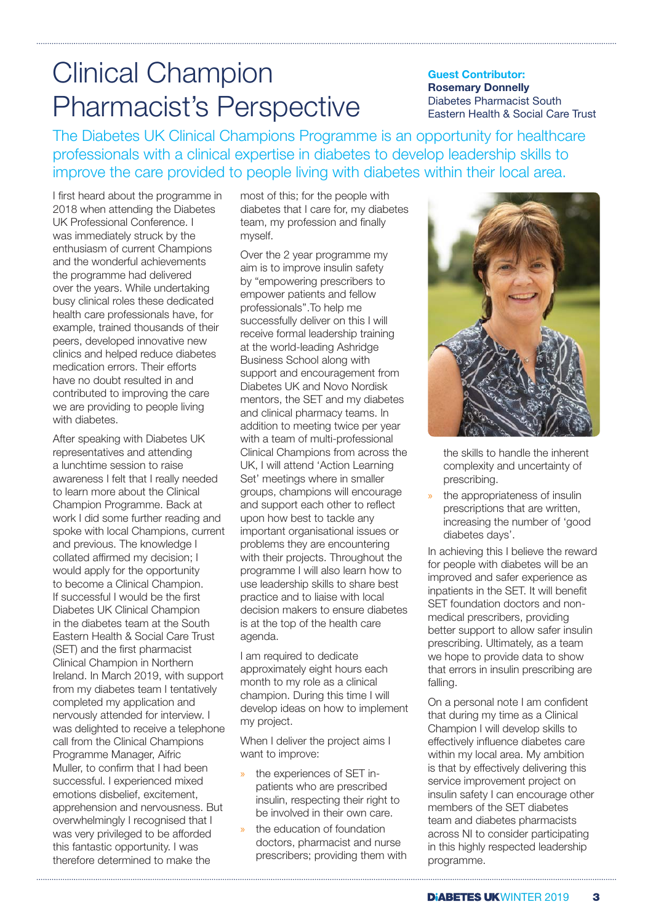# Clinical Champion Pharmacist's Perspective

### **Guest Contributor: Rosemary Donnelly**  Diabetes Pharmacist South Eastern Health & Social Care Trust

The Diabetes UK Clinical Champions Programme is an opportunity for healthcare professionals with a clinical expertise in diabetes to develop leadership skills to improve the care provided to people living with diabetes within their local area.

I first heard about the programme in 2018 when attending the Diabetes UK Professional Conference. I was immediately struck by the enthusiasm of current Champions and the wonderful achievements the programme had delivered over the years. While undertaking busy clinical roles these dedicated health care professionals have, for example, trained thousands of their peers, developed innovative new clinics and helped reduce diabetes medication errors. Their efforts have no doubt resulted in and contributed to improving the care we are providing to people living with diabetes

After speaking with Diabetes UK representatives and attending a lunchtime session to raise awareness I felt that I really needed to learn more about the Clinical Champion Programme. Back at work I did some further reading and spoke with local Champions, current and previous. The knowledge I collated affirmed my decision; I would apply for the opportunity to become a Clinical Champion. If successful I would be the first Diabetes UK Clinical Champion in the diabetes team at the South Eastern Health & Social Care Trust (SET) and the first pharmacist Clinical Champion in Northern Ireland. In March 2019, with support from my diabetes team I tentatively completed my application and nervously attended for interview. I was delighted to receive a telephone call from the Clinical Champions Programme Manager, Aifric Muller, to confirm that I had been successful. I experienced mixed emotions disbelief, excitement, apprehension and nervousness. But overwhelmingly I recognised that I was very privileged to be afforded this fantastic opportunity. I was therefore determined to make the

most of this; for the people with diabetes that I care for, my diabetes team, my profession and finally myself.

Over the 2 year programme my aim is to improve insulin safety by "empowering prescribers to empower patients and fellow professionals''.To help me successfully deliver on this I will receive formal leadership training at the world-leading Ashridge Business School along with support and encouragement from Diabetes UK and Novo Nordisk mentors, the SET and my diabetes and clinical pharmacy teams. In addition to meeting twice per year with a team of multi-professional Clinical Champions from across the UK, I will attend 'Action Learning Set' meetings where in smaller groups, champions will encourage and support each other to reflect upon how best to tackle any important organisational issues or problems they are encountering with their projects. Throughout the programme I will also learn how to use leadership skills to share best practice and to liaise with local decision makers to ensure diabetes is at the top of the health care agenda.

I am required to dedicate approximately eight hours each month to my role as a clinical champion. During this time I will develop ideas on how to implement my project.

When I deliver the project aims I want to improve:

- the experiences of SET inpatients who are prescribed insulin, respecting their right to be involved in their own care.
- the education of foundation doctors, pharmacist and nurse prescribers; providing them with



the skills to handle the inherent complexity and uncertainty of prescribing.

the appropriateness of insulin prescriptions that are written, increasing the number of 'good diabetes days'.

In achieving this I believe the reward for people with diabetes will be an improved and safer experience as inpatients in the SET. It will benefit SET foundation doctors and nonmedical prescribers, providing better support to allow safer insulin prescribing. Ultimately, as a team we hope to provide data to show that errors in insulin prescribing are falling.

On a personal note I am confident that during my time as a Clinical Champion I will develop skills to effectively influence diabetes care within my local area. My ambition is that by effectively delivering this service improvement project on insulin safety I can encourage other members of the SET diabetes team and diabetes pharmacists across NI to consider participating in this highly respected leadership programme.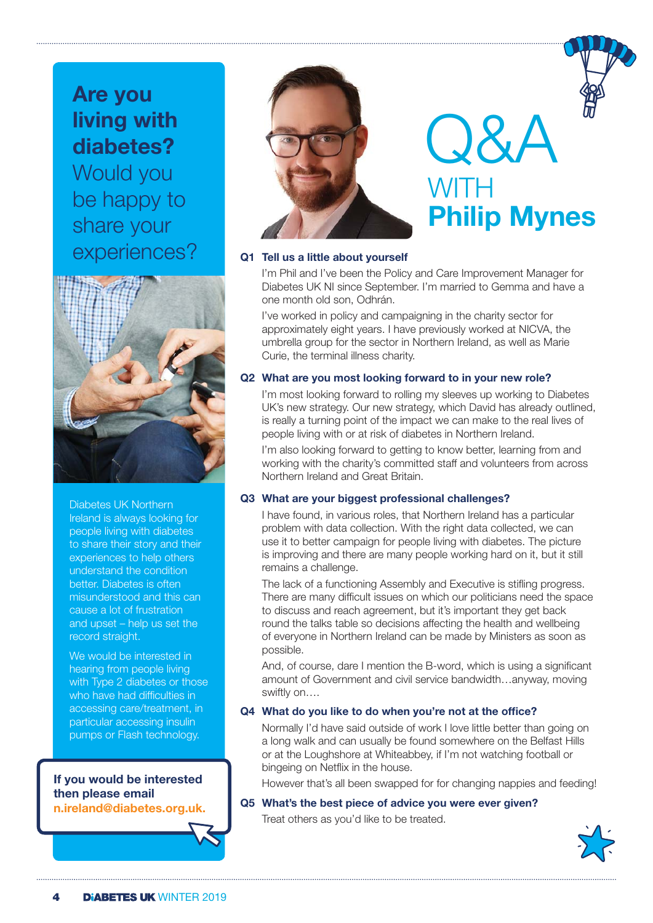**Are you living with diabetes?**  Would you be happy to share your experiences?



Diabetes UK Northern Ireland is always looking for people living with diabetes to share their story and their experiences to help others understand the condition better. Diabetes is often misunderstood and this can cause a lot of frustration and upset – help us set the record straight.

We would be interested in hearing from people living with Type 2 diabetes or those who have had difficulties in accessing care/treatment, in particular accessing insulin pumps or Flash technology.

### **If you would be interested then please email n.ireland@diabetes.org.uk.**



# Q&A WITH **Philip Mynes**

### **Q1 Tell us a little about yourself**

 I'm Phil and I've been the Policy and Care Improvement Manager for Diabetes UK NI since September. I'm married to Gemma and have a one month old son, Odhrán.

 I've worked in policy and campaigning in the charity sector for approximately eight years. I have previously worked at NICVA, the umbrella group for the sector in Northern Ireland, as well as Marie Curie, the terminal illness charity.

### **Q2 What are you most looking forward to in your new role?**

 I'm most looking forward to rolling my sleeves up working to Diabetes UK's new strategy. Our new strategy, which David has already outlined, is really a turning point of the impact we can make to the real lives of people living with or at risk of diabetes in Northern Ireland.

I'm also looking forward to getting to know better, learning from and working with the charity's committed staff and volunteers from across Northern Ireland and Great Britain.

### **Q3 What are your biggest professional challenges?**

 I have found, in various roles, that Northern Ireland has a particular problem with data collection. With the right data collected, we can use it to better campaign for people living with diabetes. The picture is improving and there are many people working hard on it, but it still remains a challenge.

 The lack of a functioning Assembly and Executive is stifling progress. There are many difficult issues on which our politicians need the space to discuss and reach agreement, but it's important they get back round the talks table so decisions affecting the health and wellbeing of everyone in Northern Ireland can be made by Ministers as soon as possible.

 And, of course, dare I mention the B-word, which is using a significant amount of Government and civil service bandwidth…anyway, moving swiftly on….

### **Q4 What do you like to do when you're not at the office?**

 Normally I'd have said outside of work I love little better than going on a long walk and can usually be found somewhere on the Belfast Hills or at the Loughshore at Whiteabbey, if I'm not watching football or bingeing on Netflix in the house.

However that's all been swapped for for changing nappies and feeding!

### **Q5 What's the best piece of advice you were ever given?**

Treat others as you'd like to be treated.

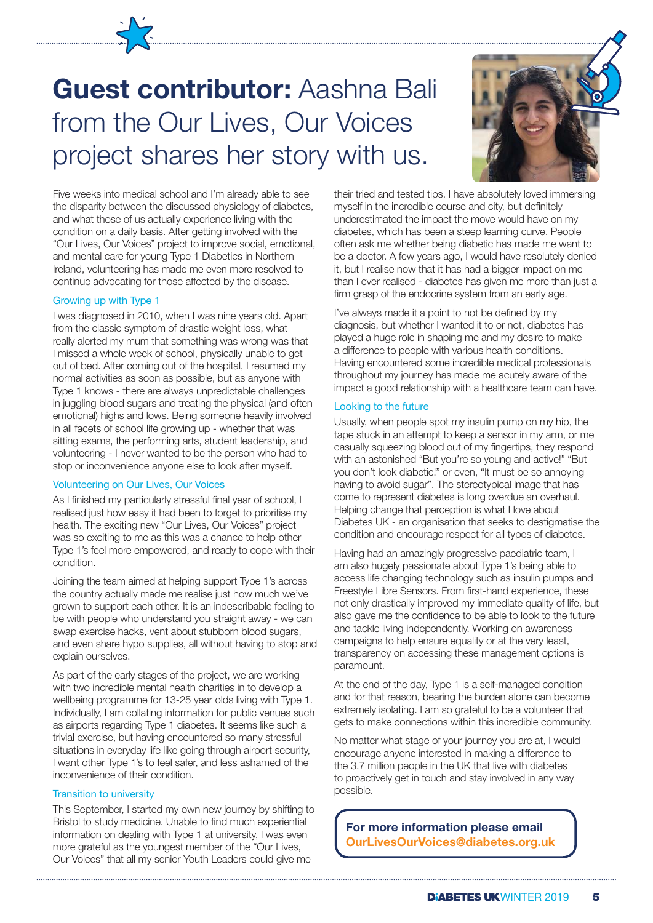# **Guest contributor:** Aashna Bali from the Our Lives, Our Voices project shares her story with us.



Five weeks into medical school and I'm already able to see the disparity between the discussed physiology of diabetes, and what those of us actually experience living with the condition on a daily basis. After getting involved with the "Our Lives, Our Voices" project to improve social, emotional, and mental care for young Type 1 Diabetics in Northern Ireland, volunteering has made me even more resolved to continue advocating for those affected by the disease.

### Growing up with Type 1

I was diagnosed in 2010, when I was nine years old. Apart from the classic symptom of drastic weight loss, what really alerted my mum that something was wrong was that I missed a whole week of school, physically unable to get out of bed. After coming out of the hospital, I resumed my normal activities as soon as possible, but as anyone with Type 1 knows - there are always unpredictable challenges in juggling blood sugars and treating the physical (and often emotional) highs and lows. Being someone heavily involved in all facets of school life growing up - whether that was sitting exams, the performing arts, student leadership, and volunteering - I never wanted to be the person who had to stop or inconvenience anyone else to look after myself.

#### Volunteering on Our Lives, Our Voices

As I finished my particularly stressful final year of school, I realised just how easy it had been to forget to prioritise my health. The exciting new "Our Lives, Our Voices" project was so exciting to me as this was a chance to help other Type 1's feel more empowered, and ready to cope with their condition.

Joining the team aimed at helping support Type 1's across the country actually made me realise just how much we've grown to support each other. It is an indescribable feeling to be with people who understand you straight away - we can swap exercise hacks, vent about stubborn blood sugars, and even share hypo supplies, all without having to stop and explain ourselves.

As part of the early stages of the project, we are working with two incredible mental health charities in to develop a wellbeing programme for 13-25 year olds living with Type 1. Individually, I am collating information for public venues such as airports regarding Type 1 diabetes. It seems like such a trivial exercise, but having encountered so many stressful situations in everyday life like going through airport security, I want other Type 1's to feel safer, and less ashamed of the inconvenience of their condition.

### Transition to university

This September, I started my own new journey by shifting to Bristol to study medicine. Unable to find much experiential information on dealing with Type 1 at university, I was even more grateful as the youngest member of the "Our Lives, Our Voices" that all my senior Youth Leaders could give me

their tried and tested tips. I have absolutely loved immersing myself in the incredible course and city, but definitely underestimated the impact the move would have on my diabetes, which has been a steep learning curve. People often ask me whether being diabetic has made me want to be a doctor. A few years ago, I would have resolutely denied it, but I realise now that it has had a bigger impact on me than I ever realised - diabetes has given me more than just a firm grasp of the endocrine system from an early age.

I've always made it a point to not be defined by my diagnosis, but whether I wanted it to or not, diabetes has played a huge role in shaping me and my desire to make a difference to people with various health conditions. Having encountered some incredible medical professionals throughout my journey has made me acutely aware of the impact a good relationship with a healthcare team can have.

#### Looking to the future

Usually, when people spot my insulin pump on my hip, the tape stuck in an attempt to keep a sensor in my arm, or me casually squeezing blood out of my fingertips, they respond with an astonished "But you're so young and active!" "But you don't look diabetic!" or even, "It must be so annoying having to avoid sugar". The stereotypical image that has come to represent diabetes is long overdue an overhaul. Helping change that perception is what I love about Diabetes UK - an organisation that seeks to destigmatise the condition and encourage respect for all types of diabetes.

Having had an amazingly progressive paediatric team, I am also hugely passionate about Type 1's being able to access life changing technology such as insulin pumps and Freestyle Libre Sensors. From first-hand experience, these not only drastically improved my immediate quality of life, but also gave me the confidence to be able to look to the future and tackle living independently. Working on awareness campaigns to help ensure equality or at the very least, transparency on accessing these management options is paramount.

At the end of the day, Type 1 is a self-managed condition and for that reason, bearing the burden alone can become extremely isolating. I am so grateful to be a volunteer that gets to make connections within this incredible community.

No matter what stage of your journey you are at, I would encourage anyone interested in making a difference to the 3.7 million people in the UK that live with diabetes to proactively get in touch and stay involved in any way possible.

**For more information please email OurLivesOurVoices@diabetes.org.uk**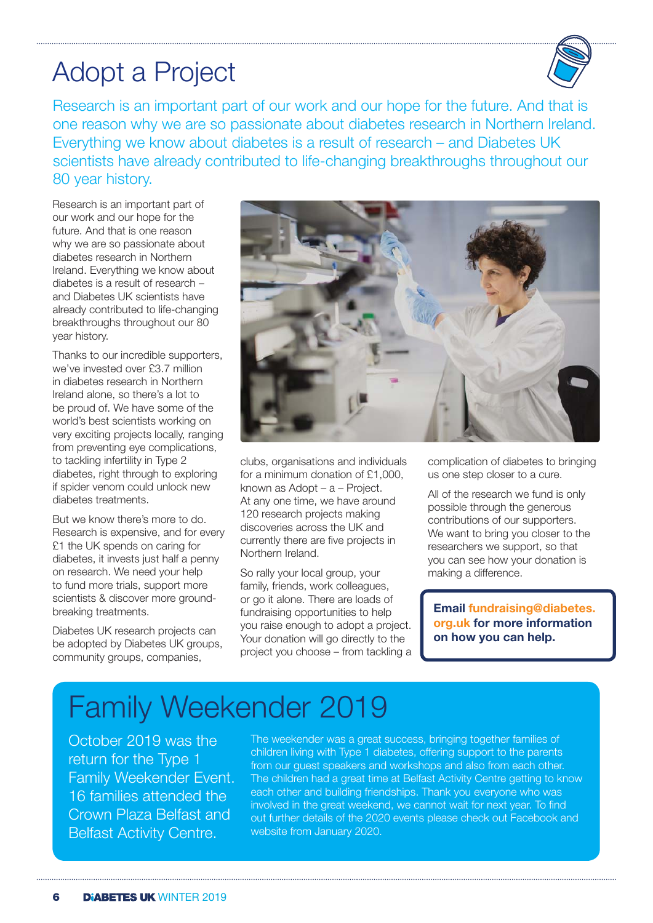## Adopt a Project



Research is an important part of our work and our hope for the future. And that is one reason why we are so passionate about diabetes research in Northern Ireland. Everything we know about diabetes is a result of research – and Diabetes UK scientists have already contributed to life-changing breakthroughs throughout our 80 year history.

Research is an important part of our work and our hope for the future. And that is one reason why we are so passionate about diabetes research in Northern Ireland. Everything we know about diabetes is a result of research – and Diabetes UK scientists have already contributed to life-changing breakthroughs throughout our 80 year history.

Thanks to our incredible supporters, we've invested over £3.7 million in diabetes research in Northern Ireland alone, so there's a lot to be proud of. We have some of the world's best scientists working on very exciting projects locally, ranging from preventing eye complications, to tackling infertility in Type 2 diabetes, right through to exploring if spider venom could unlock new diabetes treatments.

But we know there's more to do. Research is expensive, and for every £1 the UK spends on caring for diabetes, it invests just half a penny on research. We need your help to fund more trials, support more scientists & discover more groundbreaking treatments.

Diabetes UK research projects can be adopted by Diabetes UK groups. community groups, companies,



clubs, organisations and individuals for a minimum donation of £1,000, known as Adopt – a – Project. At any one time, we have around 120 research projects making discoveries across the UK and currently there are five projects in Northern Ireland.

So rally your local group, your family, friends, work colleagues, or go it alone. There are loads of fundraising opportunities to help you raise enough to adopt a project. Your donation will go directly to the project you choose – from tackling a

complication of diabetes to bringing us one step closer to a cure.

All of the research we fund is only possible through the generous contributions of our supporters. We want to bring you closer to the researchers we support, so that you can see how your donation is making a difference.

**Email fundraising@diabetes. org.uk for more information on how you can help.**

# Family Weekender 2019

October 2019 was the return for the Type 1 Family Weekender Event. 16 families attended the Crown Plaza Belfast and Belfast Activity Centre.

The weekender was a great success, bringing together families of children living with Type 1 diabetes, offering support to the parents from our guest speakers and workshops and also from each other. The children had a great time at Belfast Activity Centre getting to know each other and building friendships. Thank you everyone who was involved in the great weekend, we cannot wait for next year. To find out further details of the 2020 events please check out Facebook and website from January 2020.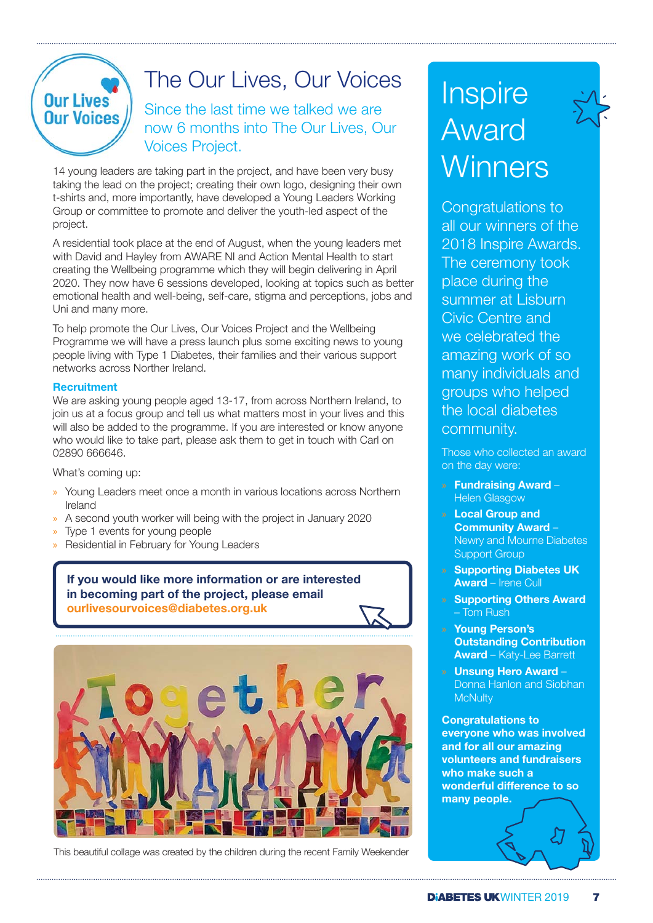

### The Our Lives, Our Voices

Since the last time we talked we are now 6 months into The Our Lives, Our Voices Project.

14 young leaders are taking part in the project, and have been very busy taking the lead on the project; creating their own logo, designing their own t-shirts and, more importantly, have developed a Young Leaders Working Group or committee to promote and deliver the youth-led aspect of the project.

A residential took place at the end of August, when the young leaders met with David and Hayley from AWARE NI and Action Mental Health to start creating the Wellbeing programme which they will begin delivering in April 2020. They now have 6 sessions developed, looking at topics such as better emotional health and well-being, self-care, stigma and perceptions, jobs and Uni and many more.

To help promote the Our Lives, Our Voices Project and the Wellbeing Programme we will have a press launch plus some exciting news to young people living with Type 1 Diabetes, their families and their various support networks across Norther Ireland.

### **Recruitment**

We are asking young people aged 13-17, from across Northern Ireland, to join us at a focus group and tell us what matters most in your lives and this will also be added to the programme. If you are interested or know anyone who would like to take part, please ask them to get in touch with Carl on 02890 666646.

What's coming up:

- » Young Leaders meet once a month in various locations across Northern Ireland
- » A second youth worker will being with the project in January 2020
- » Type 1 events for young people
- » Residential in February for Young Leaders

**If you would like more information or are interested in becoming part of the project, please email ourlivesourvoices@diabetes.org.uk**



This beautiful collage was created by the children during the recent Family Weekender

# **Inspire** Award **Winners**

Congratulations to all our winners of the 2018 Inspire Awards. The ceremony took place during the summer at Lisburn Civic Centre and we celebrated the amazing work of so many individuals and groups who helped the local diabetes community.

Those who collected an award on the day were:

- » **Fundraising Award** Helen Glasgow
- » **Local Group and Community Award** – Newry and Mourne Diabetes Support Group
- » **Supporting Diabetes UK Award** – Irene Cull
- » **Supporting Others Award** – Tom Rush
- » **Young Person's Outstanding Contribution Award** – Katy-Lee Barrett
- » **Unsung Hero Award** Donna Hanlon and Siobhan **McNulty**

**Congratulations to everyone who was involved and for all our amazing volunteers and fundraisers who make such a wonderful difference to so many people.**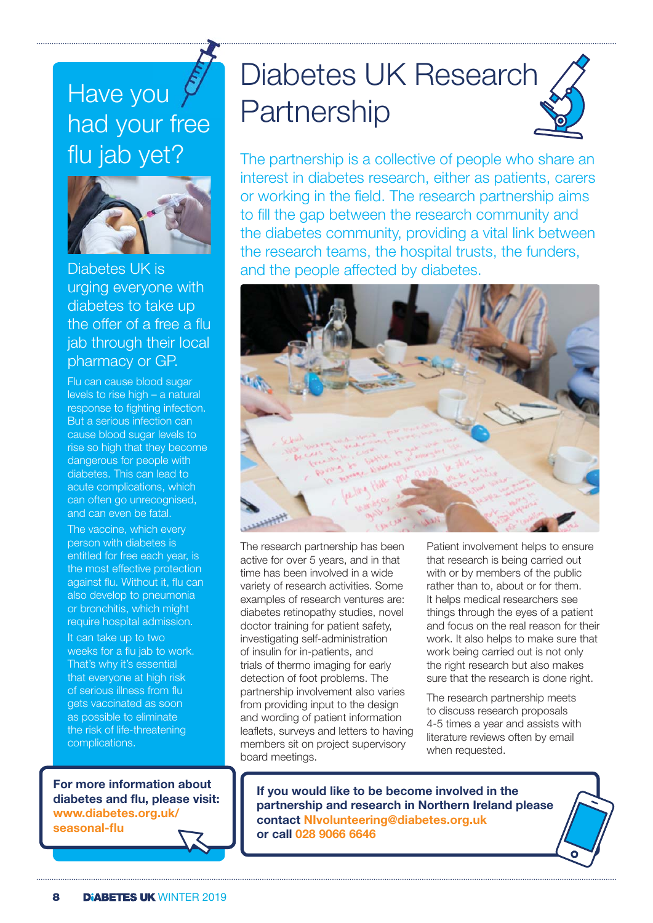### Have you  $\sqrt{ }$ Have you<br>had your free flu jab yet?



Diabetes UK is urging everyone with diabetes to take up the offer of a free a flu jab through their local pharmacy or GP.

Flu can cause blood sugar levels to rise high – a natural response to fighting infection. But a serious infection can cause blood sugar levels to rise so high that they become dangerous for people with diabetes. This can lead to acute complications, which can often go unrecognised, and can even be fatal.

The vaccine, which every person with diabetes is entitled for free each year, is the most effective protection against flu. Without it, flu can also develop to pneumonia or bronchitis, which might require hospital admission.

It can take up to two weeks for a flu jab to work. That's why it's essential that everyone at high risk of serious illness from flu gets vaccinated as soon as possible to eliminate the risk of life-threatening complications.

**For more information about diabetes and flu, please visit: www.diabetes.org.uk/ seasonal-flu** 

# Diabetes UK Research **Partnership**

The partnership is a collective of people who share an interest in diabetes research, either as patients, carers or working in the field. The research partnership aims to fill the gap between the research community and the diabetes community, providing a vital link between the research teams, the hospital trusts, the funders, and the people affected by diabetes.



The research partnership has been active for over 5 years, and in that time has been involved in a wide variety of research activities. Some examples of research ventures are: diabetes retinopathy studies, novel doctor training for patient safety, investigating self-administration of insulin for in-patients, and trials of thermo imaging for early detection of foot problems. The partnership involvement also varies from providing input to the design and wording of patient information leaflets, surveys and letters to having members sit on project supervisory board meetings.

Patient involvement helps to ensure that research is being carried out with or by members of the public rather than to, about or for them. It helps medical researchers see things through the eyes of a patient and focus on the real reason for their work. It also helps to make sure that work being carried out is not only the right research but also makes sure that the research is done right.

The research partnership meets to discuss research proposals 4-5 times a year and assists with literature reviews often by email when requested.

**If you would like to be become involved in the partnership and research in Northern Ireland please contact NIvolunteering@diabetes.org.uk or call 028 9066 6646**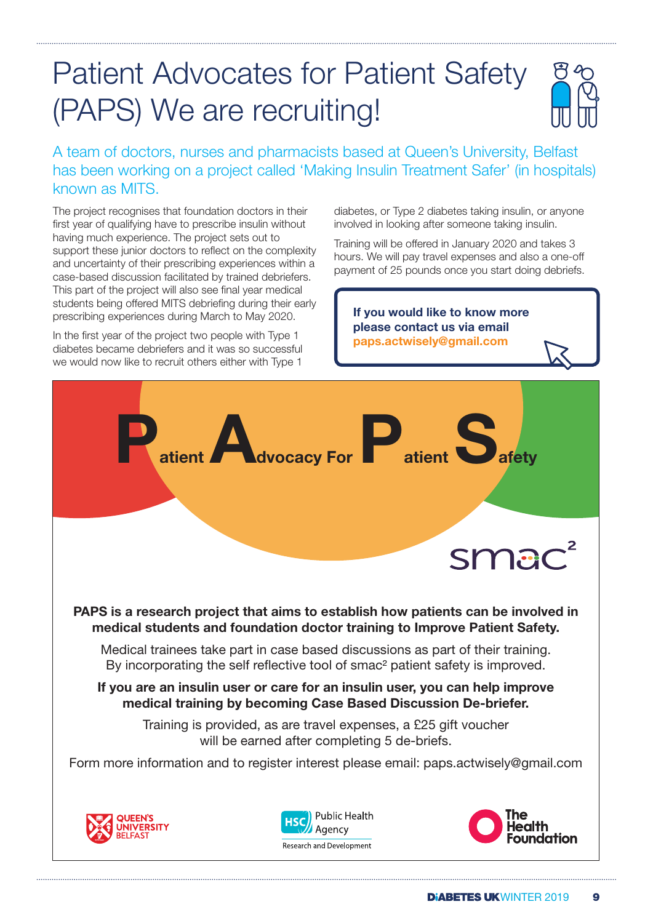# Patient Advocates for Patient Safety (PAPS) We are recruiting!



A team of doctors, nurses and pharmacists based at Queen's University, Belfast has been working on a project called 'Making Insulin Treatment Safer' (in hospitals) known as MITS.

The project recognises that foundation doctors in their first year of qualifying have to prescribe insulin without having much experience. The project sets out to support these junior doctors to reflect on the complexity and uncertainty of their prescribing experiences within a case-based discussion facilitated by trained debriefers. This part of the project will also see final year medical students being offered MITS debriefing during their early prescribing experiences during March to May 2020.

In the first year of the project two people with Type 1 diabetes became debriefers and it was so successful we would now like to recruit others either with Type 1

diabetes, or Type 2 diabetes taking insulin, or anyone involved in looking after someone taking insulin.

Training will be offered in January 2020 and takes 3 hours. We will pay travel expenses and also a one-off payment of 25 pounds once you start doing debriefs.

**If you would like to know more please contact us via email paps.actwisely@gmail.com**

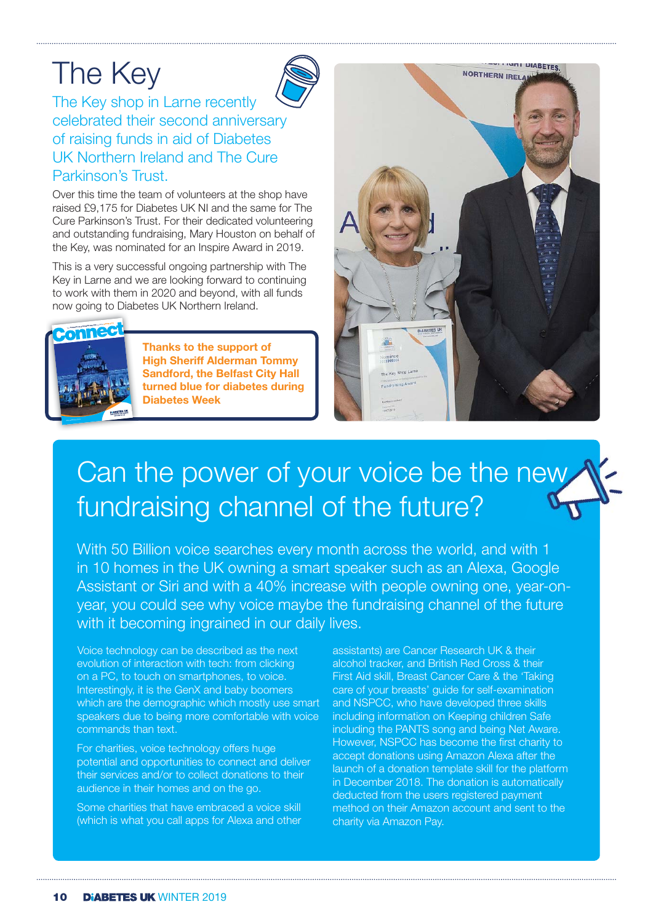# The Key



The Key shop in Larne recently celebrated their second anniversary of raising funds in aid of Diabetes UK Northern Ireland and The Cure Parkinson's Trust.

Over this time the team of volunteers at the shop have raised £9,175 for Diabetes UK NI and the same for The Cure Parkinson's Trust. For their dedicated volunteering and outstanding fundraising, Mary Houston on behalf of the Key, was nominated for an Inspire Award in 2019.

This is a very successful ongoing partnership with The Key in Larne and we are looking forward to continuing to work with them in 2020 and beyond, with all funds now going to Diabetes UK Northern Ireland.



**Thanks to the support of High Sheriff Alderman Tommy Sandford, the Belfast City Hall turned blue for diabetes during Diabetes Week**



# Can the power of your voice be the new fundraising channel of the future?

With 50 Billion voice searches every month across the world, and with 1 in 10 homes in the UK owning a smart speaker such as an Alexa, Google Assistant or Siri and with a 40% increase with people owning one, year-onyear, you could see why voice maybe the fundraising channel of the future with it becoming ingrained in our daily lives.

 Voice technology can be described as the next evolution of interaction with tech: from clicking on a PC, to touch on smartphones, to voice. Interestingly, it is the GenX and baby boomers which are the demographic which mostly use smart speakers due to being more comfortable with voice commands than text.

For charities, voice technology offers huge potential and opportunities to connect and deliver their services and/or to collect donations to their audience in their homes and on the go.

Some charities that have embraced a voice skill (which is what you call apps for Alexa and other

assistants) are Cancer Research UK & their alcohol tracker, and British Red Cross & their First Aid skill, Breast Cancer Care & the 'Taking care of your breasts' guide for self-examination and NSPCC, who have developed three skills including information on Keeping children Safe including the PANTS song and being Net Aware. However, NSPCC has become the first charity to accept donations using Amazon Alexa after the launch of a donation template skill for the platform in December 2018. The donation is automatically deducted from the users registered payment method on their Amazon account and sent to the charity via Amazon Pay.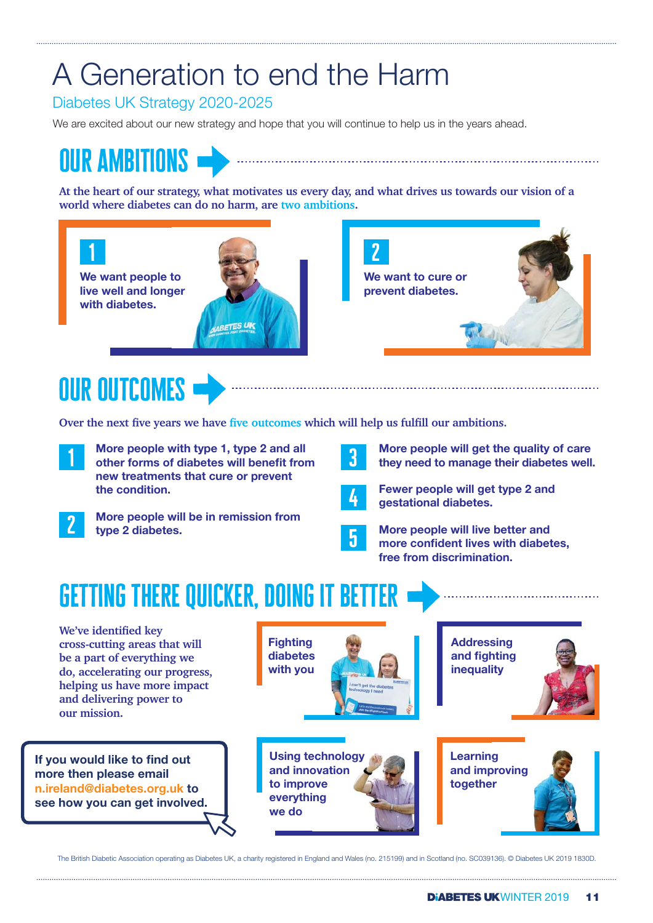# A Generation to end the Harm

Diabetes UK Strategy 2020-2025

We are excited about our new strategy and hope that you will continue to help us in the years ahead.

# our ambitions

**At the heart of our strategy, what motivates us every day, and what drives us towards our vision of a world where diabetes can do no harm, are two ambitions.**



# our outcomes

Over the next five years we have five outcomes which will help us fulfill our ambitions.

**More people with type 1, type 2 and all More people with type 1, type 2 and all other forms of diabetes will benefit from and all contained by the state of the state of the state of the state of the state of the state of the state of the state of the state of t new treatments that cure or prevent the condition.**  1



**More people will be in remission from type 2 diabetes.** 



**Fewer people will get type 2 and gestational diabetes.** 

**More people will get the quality of care they need to manage their diabetes well.** 



**More people will live better and**  more confident lives with diabetes, **free from discrimination.**

# getting there quicker, doing it better

We've identified key **cross-cutting areas that will be a part of everything we do, accelerating our progress, helping us have more impact and delivering power to our mission.**

**If you would like to find out more then please email n.ireland@diabetes.org.uk to see how you can get involved.**



The British Diabetic Association operating as Diabetes UK, a charity registered in England and Wales (no. 215199) and in Scotland (no. SC039136). © Diabetes UK 2019 1830D.